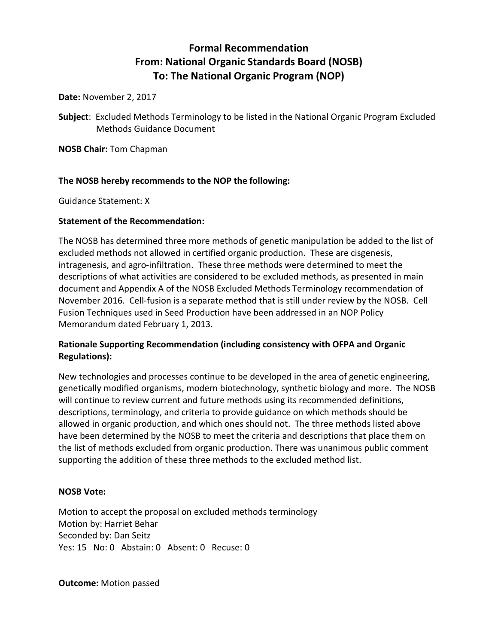# **Formal Recommendation From: National Organic Standards Board (NOSB) To: The National Organic Program (NOP)**

**Date:** November 2, 2017

**Subject**: Excluded Methods Terminology to be listed in the National Organic Program Excluded Methods Guidance Document

**NOSB Chair:** Tom Chapman

## **The NOSB hereby recommends to the NOP the following:**

Guidance Statement: X

## **Statement of the Recommendation:**

The NOSB has determined three more methods of genetic manipulation be added to the list of excluded methods not allowed in certified organic production. These are cisgenesis, intragenesis, and agro-infiltration. These three methods were determined to meet the descriptions of what activities are considered to be excluded methods, as presented in main document and Appendix A of the NOSB Excluded Methods Terminology recommendation of November 2016. Cell-fusion is a separate method that is still under review by the NOSB. Cell Fusion Techniques used in Seed Production have been addressed in an NOP Policy Memorandum dated February 1, 2013.

## **Rationale Supporting Recommendation (including consistency with OFPA and Organic Regulations):**

New technologies and processes continue to be developed in the area of genetic engineering, genetically modified organisms, modern biotechnology, synthetic biology and more. The NOSB will continue to review current and future methods using its recommended definitions, descriptions, terminology, and criteria to provide guidance on which methods should be allowed in organic production, and which ones should not. The three methods listed above have been determined by the NOSB to meet the criteria and descriptions that place them on the list of methods excluded from organic production. There was unanimous public comment supporting the addition of these three methods to the excluded method list.

## **NOSB Vote:**

Motion to accept the proposal on excluded methods terminology Motion by: Harriet Behar Seconded by: Dan Seitz Yes: 15 No: 0 Abstain: 0 Absent: 0 Recuse: 0

**Outcome:** Motion passed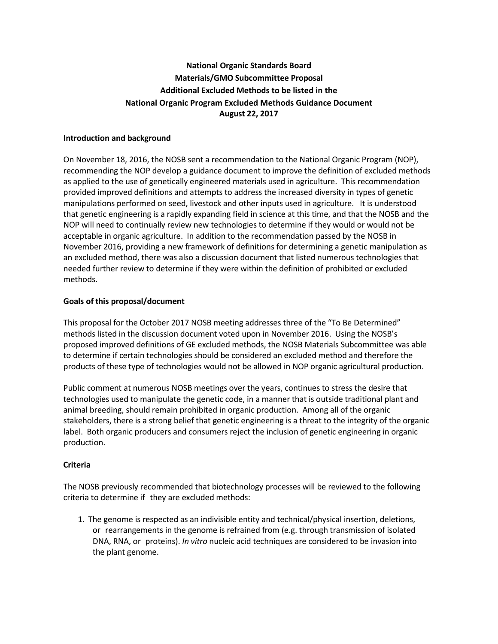# **National Organic Standards Board Materials/GMO Subcommittee Proposal Additional Excluded Methods to be listed in the National Organic Program Excluded Methods Guidance Document August 22, 2017**

#### **Introduction and background**

On November 18, 2016, the NOSB sent a recommendation to the National Organic Program (NOP), recommending the NOP develop a guidance document to improve the definition of excluded methods as applied to the use of genetically engineered materials used in agriculture. This recommendation provided improved definitions and attempts to address the increased diversity in types of genetic manipulations performed on seed, livestock and other inputs used in agriculture. It is understood that genetic engineering is a rapidly expanding field in science at this time, and that the NOSB and the NOP will need to continually review new technologies to determine if they would or would not be acceptable in organic agriculture. In addition to the recommendation passed by the NOSB in November 2016, providing a new framework of definitions for determining a genetic manipulation as an excluded method, there was also a discussion document that listed numerous technologies that needed further review to determine if they were within the definition of prohibited or excluded methods.

## **Goals of this proposal/document**

This proposal for the October 2017 NOSB meeting addresses three of the "To Be Determined" methods listed in the discussion document voted upon in November 2016. Using the NOSB's proposed improved definitions of GE excluded methods, the NOSB Materials Subcommittee was able to determine if certain technologies should be considered an excluded method and therefore the products of these type of technologies would not be allowed in NOP organic agricultural production.

Public comment at numerous NOSB meetings over the years, continues to stress the desire that technologies used to manipulate the genetic code, in a manner that is outside traditional plant and animal breeding, should remain prohibited in organic production. Among all of the organic stakeholders, there is a strong belief that genetic engineering is a threat to the integrity of the organic label. Both organic producers and consumers reject the inclusion of genetic engineering in organic production.

## **Criteria**

The NOSB previously recommended that biotechnology processes will be reviewed to the following criteria to determine if they are excluded methods:

1. The genome is respected as an indivisible entity and technical/physical insertion, deletions, or rearrangements in the genome is refrained from (e.g. through transmission of isolated DNA, RNA, or proteins). *In vitro* nucleic acid techniques are considered to be invasion into the plant genome.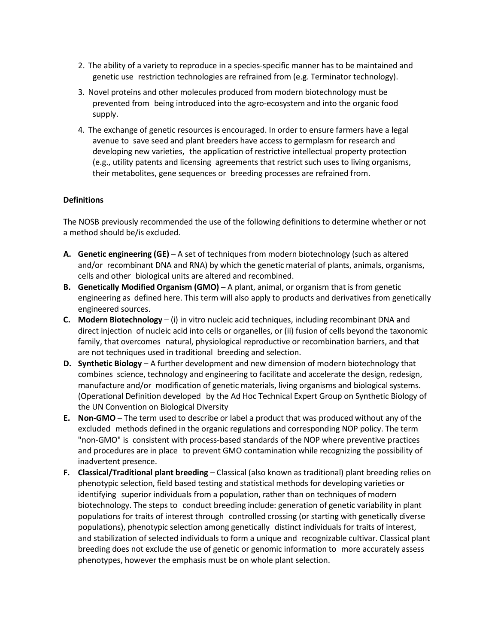- 2. The ability of a variety to reproduce in a species-specific manner has to be maintained and genetic use restriction technologies are refrained from (e.g. Terminator technology).
- 3. Novel proteins and other molecules produced from modern biotechnology must be prevented from being introduced into the agro-ecosystem and into the organic food supply.
- 4. The exchange of genetic resources is encouraged. In order to ensure farmers have a legal avenue to save seed and plant breeders have access to germplasm for research and developing new varieties, the application of restrictive intellectual property protection (e.g., utility patents and licensing agreements that restrict such uses to living organisms, their metabolites, gene sequences or breeding processes are refrained from.

#### **Definitions**

The NOSB previously recommended the use of the following definitions to determine whether or not a method should be/is excluded.

- **A. Genetic engineering (GE)**  A set of techniques from modern biotechnology (such as altered and/or recombinant DNA and RNA) by which the genetic material of plants, animals, organisms, cells and other biological units are altered and recombined.
- **B. Genetically Modified Organism (GMO)** A plant, animal, or organism that is from genetic engineering as defined here. This term will also apply to products and derivatives from genetically engineered sources.
- **C. Modern Biotechnology** (i) in vitro nucleic acid techniques, including recombinant DNA and direct injection of nucleic acid into cells or organelles, or (ii) fusion of cells beyond the taxonomic family, that overcomes natural, physiological reproductive or recombination barriers, and that are not techniques used in traditional breeding and selection.
- **D. Synthetic Biology** A further development and new dimension of modern biotechnology that combines science, technology and engineering to facilitate and accelerate the design, redesign, manufacture and/or modification of genetic materials, living organisms and biological systems. (Operational Definition developed by the Ad Hoc Technical Expert Group on Synthetic Biology of the UN Convention on Biological Diversity
- **E. Non-GMO** The term used to describe or label a product that was produced without any of the excluded methods defined in the organic regulations and corresponding NOP policy. The term "non-GMO" is consistent with process-based standards of the NOP where preventive practices and procedures are in place to prevent GMO contamination while recognizing the possibility of inadvertent presence.
- **F. Classical/Traditional plant breeding** Classical (also known as traditional) plant breeding relies on phenotypic selection, field based testing and statistical methods for developing varieties or identifying superior individuals from a population, rather than on techniques of modern biotechnology. The steps to conduct breeding include: generation of genetic variability in plant populations for traits of interest through controlled crossing (or starting with genetically diverse populations), phenotypic selection among genetically distinct individuals for traits of interest, and stabilization of selected individuals to form a unique and recognizable cultivar. Classical plant breeding does not exclude the use of genetic or genomic information to more accurately assess phenotypes, however the emphasis must be on whole plant selection.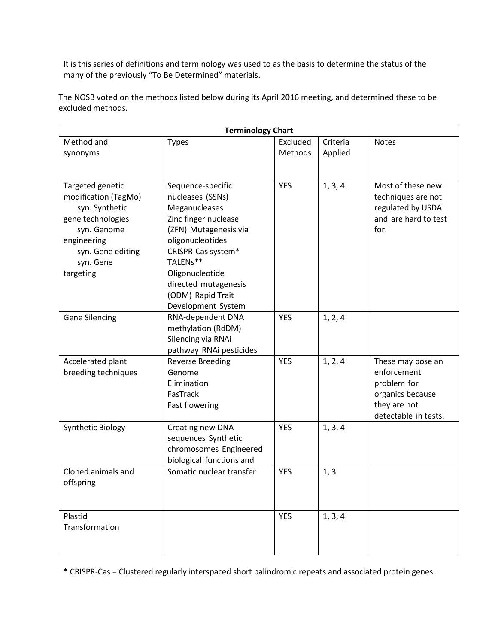It is this series of definitions and terminology was used to as the basis to determine the status of the many of the previously "To Be Determined" materials.

The NOSB voted on the methods listed below during its April 2016 meeting, and determined these to be excluded methods.

| <b>Terminology Chart</b>                                                                                                                                     |                                                                                                                                                                                                                                                     |                     |                     |                                                                                                             |  |  |
|--------------------------------------------------------------------------------------------------------------------------------------------------------------|-----------------------------------------------------------------------------------------------------------------------------------------------------------------------------------------------------------------------------------------------------|---------------------|---------------------|-------------------------------------------------------------------------------------------------------------|--|--|
| Method and<br>synonyms                                                                                                                                       | <b>Types</b>                                                                                                                                                                                                                                        | Excluded<br>Methods | Criteria<br>Applied | <b>Notes</b>                                                                                                |  |  |
|                                                                                                                                                              |                                                                                                                                                                                                                                                     |                     |                     |                                                                                                             |  |  |
| Targeted genetic<br>modification (TagMo)<br>syn. Synthetic<br>gene technologies<br>syn. Genome<br>engineering<br>syn. Gene editing<br>syn. Gene<br>targeting | Sequence-specific<br>nucleases (SSNs)<br>Meganucleases<br>Zinc finger nuclease<br>(ZFN) Mutagenesis via<br>oligonucleotides<br>CRISPR-Cas system*<br>TALENs**<br>Oligonucleotide<br>directed mutagenesis<br>(ODM) Rapid Trait<br>Development System | <b>YES</b>          | 1, 3, 4             | Most of these new<br>techniques are not<br>regulated by USDA<br>and are hard to test<br>for.                |  |  |
| <b>Gene Silencing</b>                                                                                                                                        | RNA-dependent DNA<br>methylation (RdDM)<br>Silencing via RNAi<br>pathway RNAi pesticides                                                                                                                                                            | <b>YES</b>          | 1, 2, 4             |                                                                                                             |  |  |
| Accelerated plant<br>breeding techniques                                                                                                                     | <b>Reverse Breeding</b><br>Genome<br>Elimination<br>FasTrack<br><b>Fast flowering</b>                                                                                                                                                               | <b>YES</b>          | 1, 2, 4             | These may pose an<br>enforcement<br>problem for<br>organics because<br>they are not<br>detectable in tests. |  |  |
| Synthetic Biology                                                                                                                                            | Creating new DNA<br>sequences Synthetic<br>chromosomes Engineered<br>biological functions and                                                                                                                                                       | <b>YES</b>          | 1, 3, 4             |                                                                                                             |  |  |
| Cloned animals and<br>offspring                                                                                                                              | Somatic nuclear transfer                                                                                                                                                                                                                            | <b>YES</b>          | 1, 3                |                                                                                                             |  |  |
| Plastid<br>Transformation                                                                                                                                    |                                                                                                                                                                                                                                                     | <b>YES</b>          | 1, 3, 4             |                                                                                                             |  |  |

\* CRISPR-Cas = Clustered regularly interspaced short palindromic repeats and associated protein genes.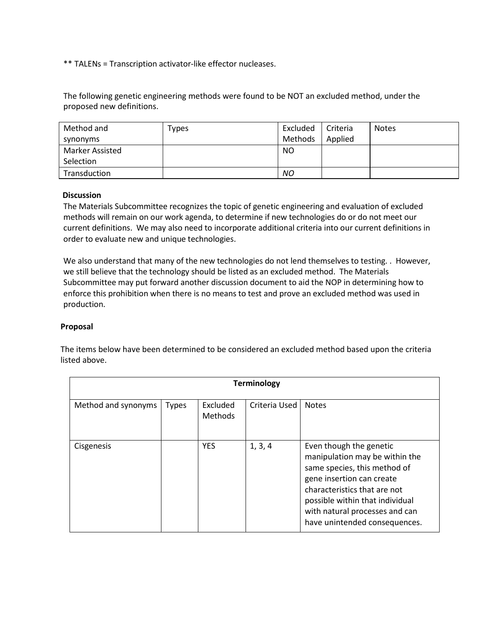\*\* TALENs = Transcription activator-like effector nucleases.

The following genetic engineering methods were found to be NOT an excluded method, under the proposed new definitions.

| Method and             | Types | Excluded | Criteria | <b>Notes</b> |
|------------------------|-------|----------|----------|--------------|
| synonyms               |       | Methods  | Applied  |              |
| <b>Marker Assisted</b> |       | NO.      |          |              |
| Selection              |       |          |          |              |
| Transduction           |       | NO       |          |              |

## **Discussion**

The Materials Subcommittee recognizes the topic of genetic engineering and evaluation of excluded methods will remain on our work agenda, to determine if new technologies do or do not meet our current definitions. We may also need to incorporate additional criteria into our current definitions in order to evaluate new and unique technologies.

We also understand that many of the new technologies do not lend themselves to testing. . However, we still believe that the technology should be listed as an excluded method. The Materials Subcommittee may put forward another discussion document to aid the NOP in determining how to enforce this prohibition when there is no means to test and prove an excluded method was used in production.

## **Proposal**

The items below have been determined to be considered an excluded method based upon the criteria listed above.

| <b>Terminology</b>  |              |                     |               |                                                                                                                                                                                                                                                              |
|---------------------|--------------|---------------------|---------------|--------------------------------------------------------------------------------------------------------------------------------------------------------------------------------------------------------------------------------------------------------------|
| Method and synonyms | <b>Types</b> | Excluded<br>Methods | Criteria Used | <b>Notes</b>                                                                                                                                                                                                                                                 |
| Cisgenesis          |              | <b>YES</b>          | 1, 3, 4       | Even though the genetic<br>manipulation may be within the<br>same species, this method of<br>gene insertion can create<br>characteristics that are not<br>possible within that individual<br>with natural processes and can<br>have unintended consequences. |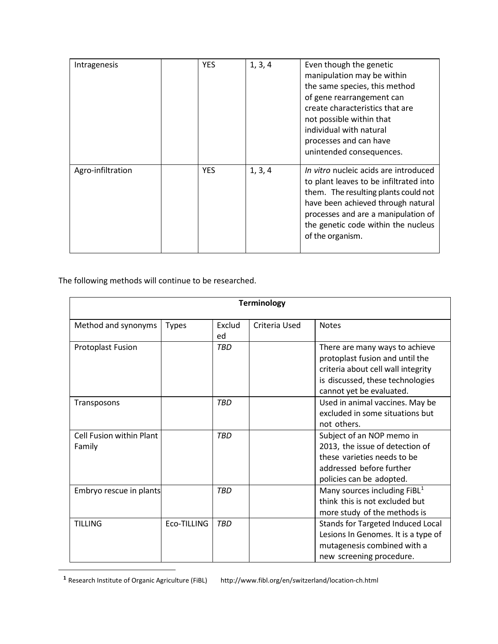| Intragenesis      | <b>YES</b> | 1, 3, 4 | Even though the genetic<br>manipulation may be within<br>the same species, this method<br>of gene rearrangement can<br>create characteristics that are<br>not possible within that<br>individual with natural<br>processes and can have<br>unintended consequences. |
|-------------------|------------|---------|---------------------------------------------------------------------------------------------------------------------------------------------------------------------------------------------------------------------------------------------------------------------|
| Agro-infiltration | <b>YES</b> | 1, 3, 4 | In vitro nucleic acids are introduced<br>to plant leaves to be infiltrated into<br>them. The resulting plants could not<br>have been achieved through natural<br>processes and are a manipulation of<br>the genetic code within the nucleus<br>of the organism.     |

The following methods will continue to be researched.

<span id="page-5-0"></span> $\overline{\phantom{a}}$ 

| <b>Terminology</b>                 |              |              |               |                                                                                                                                                                         |
|------------------------------------|--------------|--------------|---------------|-------------------------------------------------------------------------------------------------------------------------------------------------------------------------|
| Method and synonyms                | <b>Types</b> | Exclud<br>ed | Criteria Used | <b>Notes</b>                                                                                                                                                            |
| <b>Protoplast Fusion</b>           |              | <b>TBD</b>   |               | There are many ways to achieve<br>protoplast fusion and until the<br>criteria about cell wall integrity<br>is discussed, these technologies<br>cannot yet be evaluated. |
| Transposons                        |              | <b>TBD</b>   |               | Used in animal vaccines. May be<br>excluded in some situations but<br>not others.                                                                                       |
| Cell Fusion within Plant<br>Family |              | <b>TBD</b>   |               | Subject of an NOP memo in<br>2013, the issue of detection of<br>these varieties needs to be<br>addressed before further<br>policies can be adopted.                     |
| Embryo rescue in plants            |              | <b>TRD</b>   |               | Many sources including $FiBL1$<br>think this is not excluded but<br>more study of the methods is                                                                        |
| <b>TILLING</b>                     | Eco-TILLING  | <b>TBD</b>   |               | Stands for Targeted Induced Local<br>Lesions In Genomes. It is a type of<br>mutagenesis combined with a<br>new screening procedure.                                     |

**<sup>1</sup>** Research Institute of Organic Agriculture (FiBL) http://www.fibl.org/en/switzerland/location-ch.html